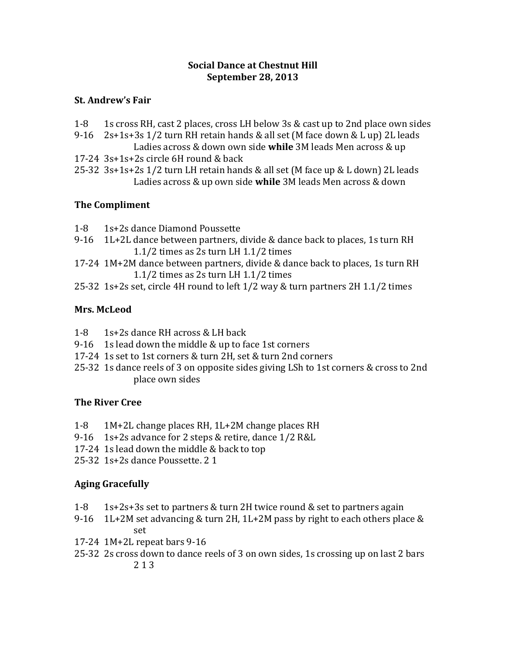#### **Social Dance at Chestnut Hill September 28, 2013**

## **St. Andrew's Fair**

- 1-8 1s cross RH, cast 2 places, cross LH below 3s & cast up to 2nd place own sides
- 9-16 2s+1s+3s 1/2 turn RH retain hands & all set (M face down & L up) 2L leads Ladies across & down own side **while** 3M leads Men across & up
- 17-24 3s+1s+2s circle 6H round & back
- 25-32 3s+1s+2s 1/2 turn LH retain hands & all set (M face up & L down) 2L leads Ladies across & up own side **while** 3M leads Men across & down

# **The Compliment**

- 1-8 1s+2s dance Diamond Poussette
- 9-16 1L+2L dance between partners, divide & dance back to places, 1s turn RH 1.1/2 times as 2s turn LH 1.1/2 times
- 17-24 1M+2M dance between partners, divide & dance back to places, 1s turn RH 1.1/2 times as 2s turn LH 1.1/2 times
- 25-32 1s+2s set, circle 4H round to left 1/2 way & turn partners 2H 1.1/2 times

# **Mrs. McLeod**

- 1-8 1s+2s dance RH across & LH back
- 9-16 1s lead down the middle & up to face 1st corners
- 17-24 1s set to 1st corners & turn 2H, set & turn 2nd corners
- 25-32 1s dance reels of 3 on opposite sides giving LSh to 1st corners & cross to 2nd place own sides

# **The River Cree**

- 1-8 1M+2L change places RH, 1L+2M change places RH
- 9-16 1s+2s advance for 2 steps & retire, dance 1/2 R&L
- 17-24 1s lead down the middle & back to top
- 25-32 1s+2s dance Poussette. 2 1

# **Aging Gracefully**

- 1-8 1s+2s+3s set to partners & turn 2H twice round & set to partners again
- 9-16 1L+2M set advancing & turn 2H,  $1L+2M$  pass by right to each others place & set
- 17-24 1M+2L repeat bars 9-16
- 25-32 2s cross down to dance reels of 3 on own sides, 1s crossing up on last 2 bars 2 1 3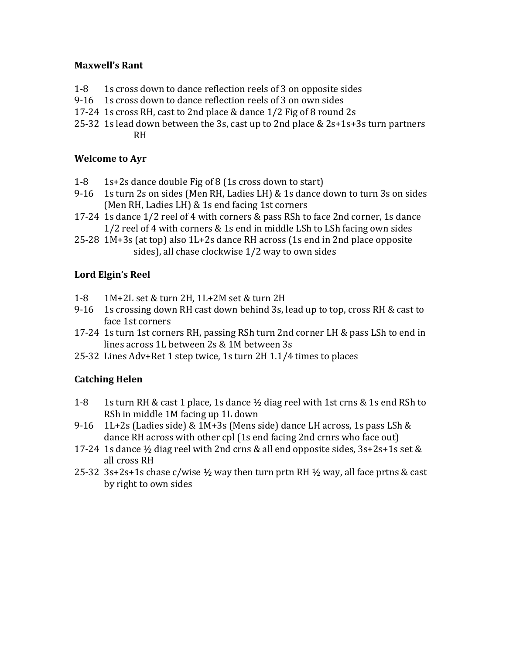## **Maxwell's Rant**

- 1-8 1s cross down to dance reflection reels of 3 on opposite sides
- 9-16 1s cross down to dance reflection reels of 3 on own sides
- 17-24 1s cross RH, cast to 2nd place & dance 1/2 Fig of 8 round 2s
- 25-32 1s lead down between the 3s, cast up to 2nd place & 2s+1s+3s turn partners RH

### **Welcome to Ayr**

- 1-8 1s+2s dance double Fig of 8 (1s cross down to start)
- 9-16 1s turn 2s on sides (Men RH, Ladies LH) & 1s dance down to turn 3s on sides (Men RH, Ladies LH) & 1s end facing 1st corners
- 17-24 1s dance 1/2 reel of 4 with corners & pass RSh to face 2nd corner, 1s dance 1/2 reel of 4 with corners & 1s end in middle LSh to LSh facing own sides
- 25-28 1M+3s (at top) also 1L+2s dance RH across (1s end in 2nd place opposite sides), all chase clockwise 1/2 way to own sides

# **Lord Elgin's Reel**

- 1-8 1M+2L set & turn 2H, 1L+2M set & turn 2H
- 9-16 1s crossing down RH cast down behind 3s, lead up to top, cross RH & cast to face 1st corners
- 17-24 1s turn 1st corners RH, passing RSh turn 2nd corner LH & pass LSh to end in lines across 1L between 2s & 1M between 3s
- 25-32 Lines Adv+Ret 1 step twice, 1s turn 2H 1.1/4 times to places

# **Catching Helen**

- 1-8 1s turn RH & cast 1 place, 1s dance ½ diag reel with 1st crns & 1s end RSh to RSh in middle 1M facing up 1L down
- 9-16 1L+2s (Ladies side) & 1M+3s (Mens side) dance LH across, 1s pass LSh & dance RH across with other cpl (1s end facing 2nd crnrs who face out)
- 17-24 1s dance ½ diag reel with 2nd crns & all end opposite sides, 3s+2s+1s set & all cross RH
- 25-32 3s+2s+1s chase c/wise  $\frac{1}{2}$  way then turn prtn RH  $\frac{1}{2}$  way, all face prtns & cast by right to own sides